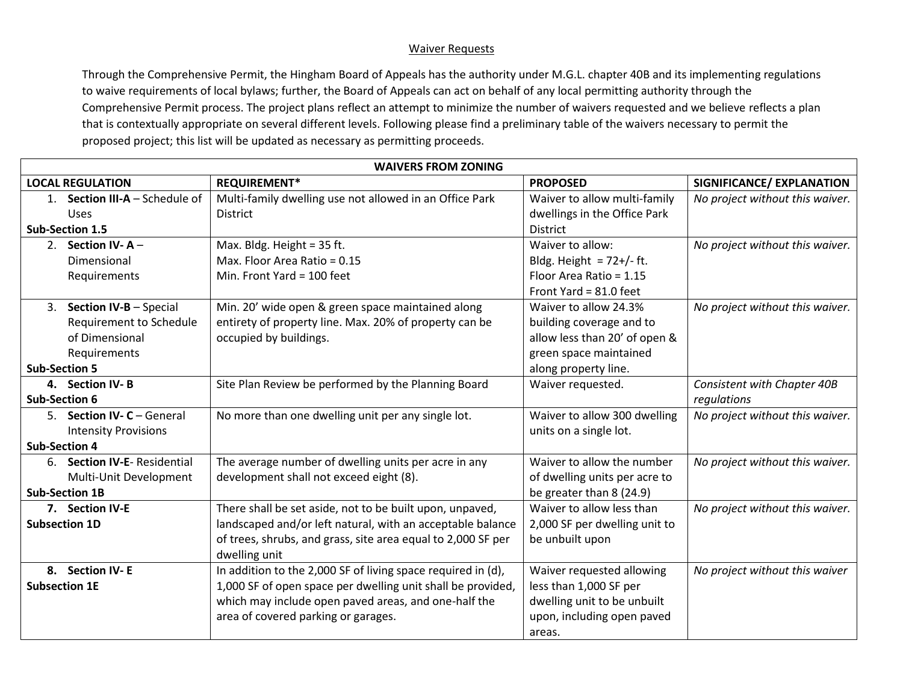## Waiver Requests

Through the Comprehensive Permit, the Hingham Board of Appeals has the authority under M.G.L. chapter 40B and its implementing regulations to waive requirements of local bylaws; further, the Board of Appeals can act on behalf of any local permitting authority through the Comprehensive Permit process. The project plans reflect an attempt to minimize the number of waivers requested and we believe reflects a plan that is contextually appropriate on several different levels. Following please find a preliminary table of the waivers necessary to permit the proposed project; this list will be updated as necessary as permitting proceeds.

| SIGNIFICANCE/ EXPLANATION       |
|---------------------------------|
|                                 |
| No project without this waiver. |
|                                 |
| No project without this waiver. |
|                                 |
|                                 |
|                                 |
| No project without this waiver. |
|                                 |
|                                 |
|                                 |
|                                 |
| Consistent with Chapter 40B     |
|                                 |
| No project without this waiver. |
|                                 |
|                                 |
| No project without this waiver. |
|                                 |
|                                 |
| No project without this waiver. |
|                                 |
|                                 |
| No project without this waiver  |
|                                 |
|                                 |
|                                 |
|                                 |
|                                 |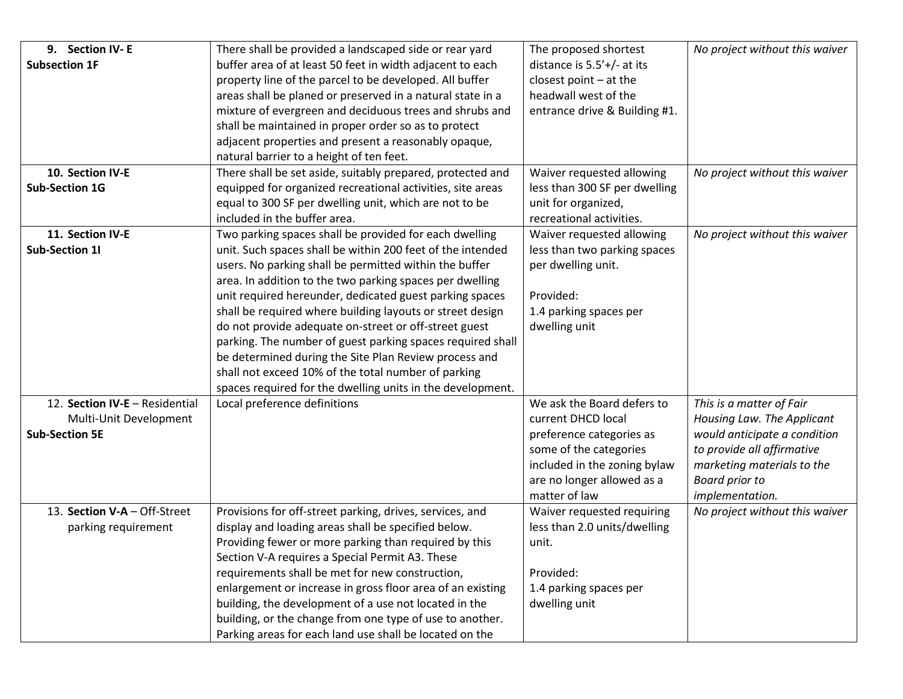| 9. Section IV-E                | There shall be provided a landscaped side or rear yard     | The proposed shortest         | No project without this waiver |
|--------------------------------|------------------------------------------------------------|-------------------------------|--------------------------------|
| <b>Subsection 1F</b>           | buffer area of at least 50 feet in width adjacent to each  | distance is $5.5'$ +/- at its |                                |
|                                | property line of the parcel to be developed. All buffer    | closest point $-$ at the      |                                |
|                                | areas shall be planed or preserved in a natural state in a | headwall west of the          |                                |
|                                | mixture of evergreen and deciduous trees and shrubs and    | entrance drive & Building #1. |                                |
|                                | shall be maintained in proper order so as to protect       |                               |                                |
|                                | adjacent properties and present a reasonably opaque,       |                               |                                |
|                                | natural barrier to a height of ten feet.                   |                               |                                |
| 10. Section IV-E               | There shall be set aside, suitably prepared, protected and | Waiver requested allowing     | No project without this waiver |
| <b>Sub-Section 1G</b>          | equipped for organized recreational activities, site areas | less than 300 SF per dwelling |                                |
|                                | equal to 300 SF per dwelling unit, which are not to be     | unit for organized,           |                                |
|                                | included in the buffer area.                               | recreational activities.      |                                |
| 11. Section IV-E               | Two parking spaces shall be provided for each dwelling     | Waiver requested allowing     | No project without this waiver |
| <b>Sub-Section 11</b>          | unit. Such spaces shall be within 200 feet of the intended | less than two parking spaces  |                                |
|                                | users. No parking shall be permitted within the buffer     | per dwelling unit.            |                                |
|                                | area. In addition to the two parking spaces per dwelling   |                               |                                |
|                                | unit required hereunder, dedicated guest parking spaces    | Provided:                     |                                |
|                                | shall be required where building layouts or street design  | 1.4 parking spaces per        |                                |
|                                | do not provide adequate on-street or off-street guest      | dwelling unit                 |                                |
|                                | parking. The number of guest parking spaces required shall |                               |                                |
|                                | be determined during the Site Plan Review process and      |                               |                                |
|                                | shall not exceed 10% of the total number of parking        |                               |                                |
|                                | spaces required for the dwelling units in the development. |                               |                                |
| 12. Section IV-E - Residential | Local preference definitions                               | We ask the Board defers to    | This is a matter of Fair       |
| Multi-Unit Development         |                                                            | current DHCD local            | Housing Law. The Applicant     |
| <b>Sub-Section 5E</b>          |                                                            | preference categories as      | would anticipate a condition   |
|                                |                                                            | some of the categories        | to provide all affirmative     |
|                                |                                                            | included in the zoning bylaw  | marketing materials to the     |
|                                |                                                            | are no longer allowed as a    | <b>Board prior to</b>          |
|                                |                                                            | matter of law                 | implementation.                |
| 13. Section V-A - Off-Street   | Provisions for off-street parking, drives, services, and   | Waiver requested requiring    | No project without this waiver |
| parking requirement            | display and loading areas shall be specified below.        | less than 2.0 units/dwelling  |                                |
|                                | Providing fewer or more parking than required by this      | unit.                         |                                |
|                                | Section V-A requires a Special Permit A3. These            |                               |                                |
|                                | requirements shall be met for new construction,            | Provided:                     |                                |
|                                | enlargement or increase in gross floor area of an existing | 1.4 parking spaces per        |                                |
|                                | building, the development of a use not located in the      | dwelling unit                 |                                |
|                                | building, or the change from one type of use to another.   |                               |                                |
|                                | Parking areas for each land use shall be located on the    |                               |                                |